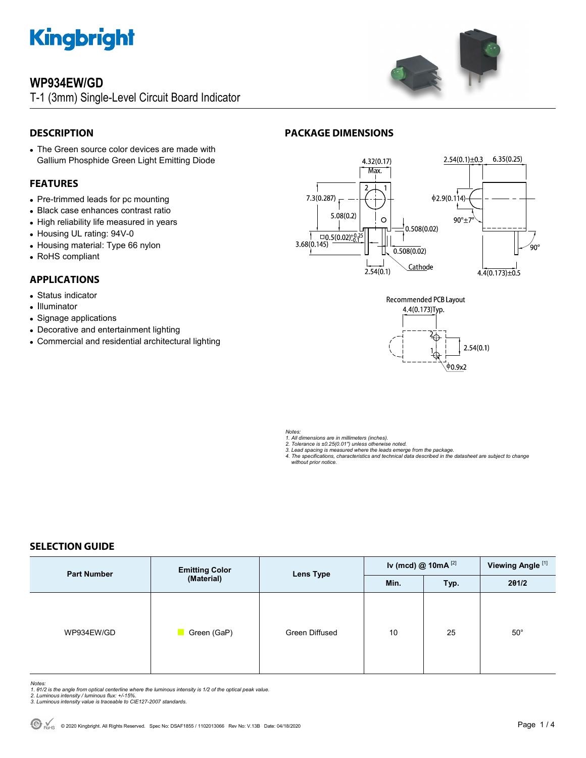

### **WP934EW/GD**

T-1 (3mm) Single-Level Circuit Board Indicator



### **DESCRIPTION**

 The Green source color devices are made with Gallium Phosphide Green Light Emitting Diode

#### **FEATURES**

- Pre-trimmed leads for pc mounting
- Black case enhances contrast ratio
- High reliability life measured in years
- Housing UL rating: 94V-0
- Housing material: Type 66 nylon
- RoHS compliant

#### **APPLICATIONS**

- Status indicator
- Illuminator
- Signage applications
- Decorative and entertainment lighting
- Commercial and residential architectural lighting

### **PACKAGE DIMENSIONS**





*Notes:* 

- *1. All dimensions are in millimeters (inches).*
- 
- 2. Tolerance is ±0.25(0.01") unless otherwise noted.<br>3. Lead spacing is measured where the leads emerge from the package.<br>4. The specifications, characteristics and technical data described in the datasheet are subject to  *without prior notice.*

#### **SELECTION GUIDE**

| <b>Part Number</b> | <b>Emitting Color</b><br>(Material) | <b>Lens Type</b> | Iv (mcd) @ $10mA$ <sup>[2]</sup> |      | Viewing Angle <sup>[1]</sup> |
|--------------------|-------------------------------------|------------------|----------------------------------|------|------------------------------|
|                    |                                     |                  | Min.                             | Typ. | 201/2                        |
| WP934EW/GD         | Green (GaP)                         | Green Diffused   | 10                               | 25   | $50^{\circ}$                 |

- Notes:<br>1. 81/2 is the angle from optical centerline where the luminous intensity is 1/2 of the optical peak value.<br>2. Luminous intensity / luminous flux: +/-15%.<br>3. Luminous intensity value is traceable to CIE127-2007 stan
- 
-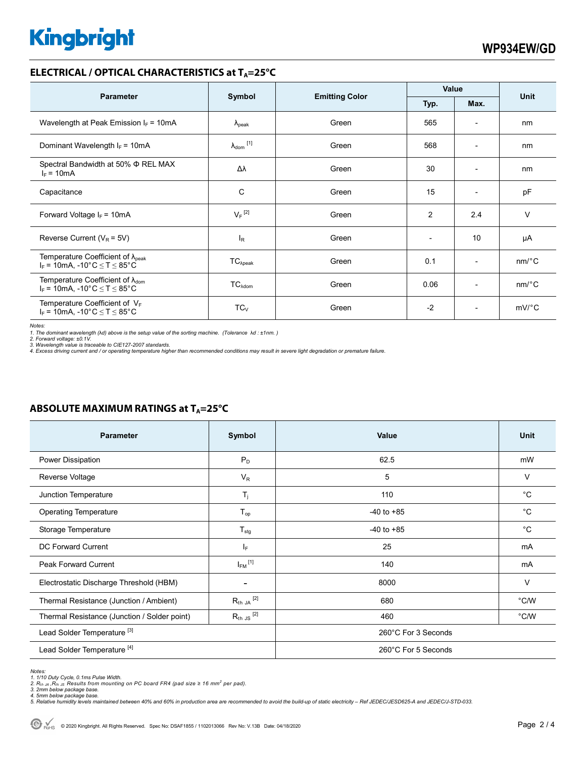# **Kingbright**

#### **ELECTRICAL / OPTICAL CHARACTERISTICS at T<sub>A</sub>=25°C**

| <b>Parameter</b>                                                                              |                            |       | Value                                 |                          | <b>Unit</b>           |
|-----------------------------------------------------------------------------------------------|----------------------------|-------|---------------------------------------|--------------------------|-----------------------|
|                                                                                               | Symbol                     |       | <b>Emitting Color</b><br>Max.<br>Typ. |                          |                       |
| Wavelength at Peak Emission $I_F = 10mA$                                                      | $\lambda_{\rm peak}$       | Green | 565                                   | $\overline{\phantom{a}}$ | nm                    |
| Dominant Wavelength $I_F = 10mA$                                                              | $\lambda_{\text{dom}}$ [1] | Green | 568                                   | $\overline{\phantom{a}}$ | nm                    |
| Spectral Bandwidth at 50% $\Phi$ REL MAX<br>$I_F = 10mA$                                      | Δλ                         | Green | 30                                    | $\overline{\phantom{a}}$ | nm                    |
| Capacitance                                                                                   | C                          | Green | 15                                    | $\overline{a}$           | pF                    |
| Forward Voltage $I_F$ = 10mA                                                                  | $V_F$ <sup>[2]</sup>       | Green | $\overline{c}$                        | 2.4                      | v                     |
| Reverse Current ( $V_R$ = 5V)                                                                 | $I_{R}$                    | Green | $\overline{\phantom{a}}$              | 10                       | μA                    |
| Temperature Coefficient of $\lambda_{peak}$<br>$I_F$ = 10mA, -10°C $\le T \le 85$ °C          | $TC_{\lambda peak}$        | Green | 0.1                                   | $\overline{\phantom{a}}$ | $nm$ <sup>o</sup> $C$ |
| Temperature Coefficient of $\lambda_{\text{dom}}$<br>$I_F$ = 10mA, -10°C $\leq$ T $\leq$ 85°C | $TC_{\lambda dom}$         | Green | 0.06                                  | $\overline{a}$           | $nm$ <sup>o</sup> $C$ |
| Temperature Coefficient of $V_F$<br>$I_F$ = 10mA, -10°C $\leq T \leq 85$ °C                   | $TC_V$                     | Green | $-2$                                  | $\overline{\phantom{a}}$ | $mV$ °C               |

*Notes:* 

1. The dominant wavelength (λd) above is the setup value of the sorting machine. (Tolerance λd : ±1nm. )<br>2. Forward voltage: ±0.1V.<br>3. Wavelength value is traceable to CIE127-2007 standards.<br>4. Excess driving current and

| <b>Parameter</b>                             | Symbol                       | <b>Value</b>        | <b>Unit</b> |  |
|----------------------------------------------|------------------------------|---------------------|-------------|--|
| Power Dissipation                            | $P_D$                        | 62.5                | mW          |  |
| Reverse Voltage                              | $V_R$                        | 5                   | $\vee$      |  |
| Junction Temperature                         | $T_j$                        | 110                 | $^{\circ}C$ |  |
| <b>Operating Temperature</b>                 | $T_{op}$                     | $-40$ to $+85$      | $^{\circ}C$ |  |
| Storage Temperature                          | $T_{\text{stg}}$             | $-40$ to $+85$      | $^{\circ}C$ |  |
| <b>DC Forward Current</b>                    | $ _{\mathsf{F}}$             | 25                  | mA          |  |
| <b>Peak Forward Current</b>                  | $I_{FM}$ [1]                 | 140                 | mA          |  |
| Electrostatic Discharge Threshold (HBM)      | $\qquad \qquad \blacksquare$ | 8000                | $\vee$      |  |
| Thermal Resistance (Junction / Ambient)      | $R_{th}$ JA $^{[2]}$         | 680                 | °C/W        |  |
| Thermal Resistance (Junction / Solder point) | $R_{th}$ JS $^{[2]}$         | 460                 | °C/W        |  |
| Lead Solder Temperature <sup>[3]</sup>       |                              | 260°C For 3 Seconds |             |  |
| Lead Solder Temperature <sup>[4]</sup>       |                              | 260°C For 5 Seconds |             |  |

#### **ABSOLUTE MAXIMUM RATINGS at T<sub>A</sub>=25°C**

*Notes:* 

<sup>1. 1/10</sup> Duty Cycle, 0.1ms Pulse Width.<br>2. R<sub>th Ja</sub> ,R<sub>h JS</sub> Results from mounting on PC board FR4 (pad size ≥ 16 mm² per pad).<br>3. 2mm below package base.

*<sup>4. 5</sup>mm below package base. 5. Relative humidity levels maintained between 40% and 60% in production area are recommended to avoid the build-up of static electricity – Ref JEDEC/JESD625-A and JEDEC/J-STD-033.*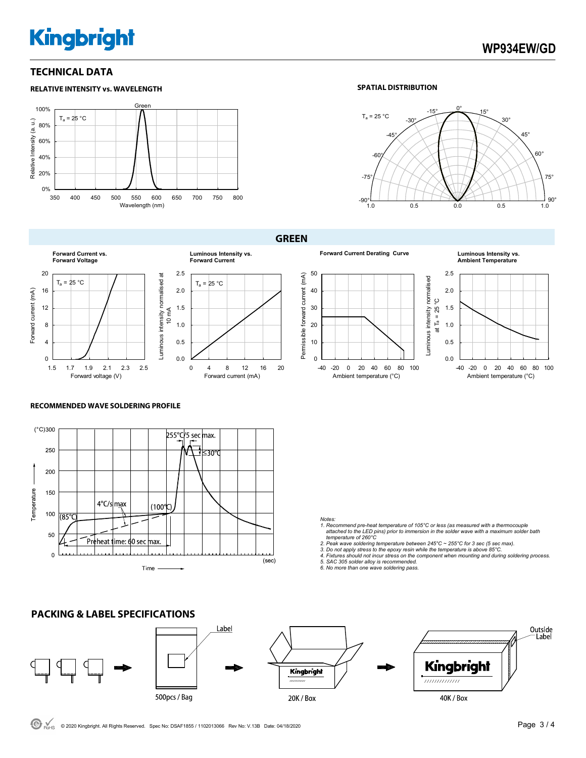# **Kingbright**

#### **TECHNICAL DATA**





**GREEN** 



Forward voltage (V)



**Forward Current Derating Curve Luminous Intensity vs.** 

**Ambient Temperature**





#### **RECOMMENDED WAVE SOLDERING PROFILE**



#### *Notes:*

- *1. Recommend pre-heat temperature of 105°C or less (as measured with a thermocouple attached to the LED pins) prior to immersion in the solder wave with a maximum solder bath*
- *temperature of 260°C 2. Peak wave soldering temperature between 245°C ~ 255°C for 3 sec (5 sec max).*
- 
- 3. Do not apply stress to the epoxy resin while the temperature is above 85°C.<br>4. Fixtures should not incur stress on the component when mounting and during soldering process.<br>5. SAC 305 solder alloy is recommended.
- 
- *6. No more than one wave soldering pass.*